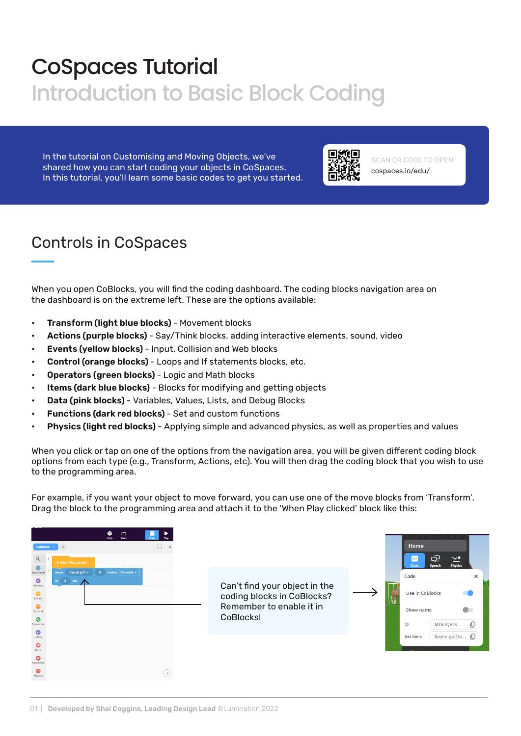# CoSpaces Tutorial Introduction to Basic Block Coding

In the tutorial on Customising and Moving Objects, we've shared how you can start coding your objects in CoSpaces. In this tutorial, you'll learn some basic codes to get you started.



cospaces.io/edu/ SCAN QR CODE TO OPEN

## Controls in CoSpaces

When you open CoBlocks, you will find the coding dashboard. The coding blocks navigation area on the dashboard is on the extreme left. These are the options available:

- Transform (light blue blocks) Movement blocks
- Actions (purple blocks) Say/Think blocks, adding interactive elements, sound, video
- Events (yellow blocks) Input, Collision and Web blocks
- Control (orange blocks) Loops and If statements blocks, etc.
- Operators (green blocks) Logic and Math blocks
- Items (dark blue blocks) Blocks for modifying and getting objects
- Data (pink blocks) Variables, Values, Lists, and Debug Blocks
- Functions (dark red blocks) Set and custom functions
- Physics (light red blocks) Applying simple and advanced physics, as well as properties and values

When you click or tap on one of the options from the navigation area, you will be given different coding block options from each type (e.g., Transform, Actions, etc). You will then drag the coding block that you wish to use to the programming area.

For example, if you want your object to move forward, you can use one of the move blocks from 'Transform'. Drag the block to the programming area and attach it to the 'When Play clicked' block like this:

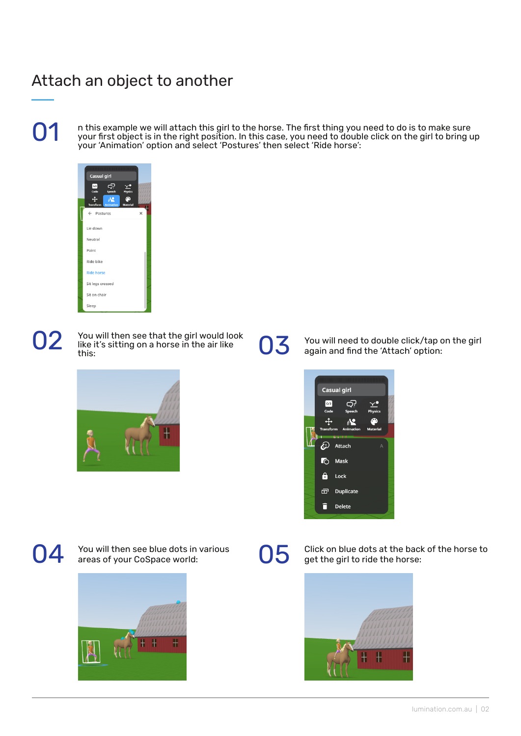#### Attach an object to another

n this example we will attach this girl to the horse. The first thing you need to do is to make sure<br>your first object is in the right position. In this case, you need to double click on the girl to bring up<br>your 'Animatio



You will then see that the girl would look  $\bigcirc$   $\bigcirc$   $\bigcirc$  You will then see that the girl would log<br>like it's sitting on a horse in the air like<br>this:



**O3** You will need to double click/tap on the girl again and find the 'Attach' option:





You will then see blue dots in various  $\bigcirc$  Click on blue dots at the back of the horse to areas of your CoSpace world: get the girl to ride the horse:

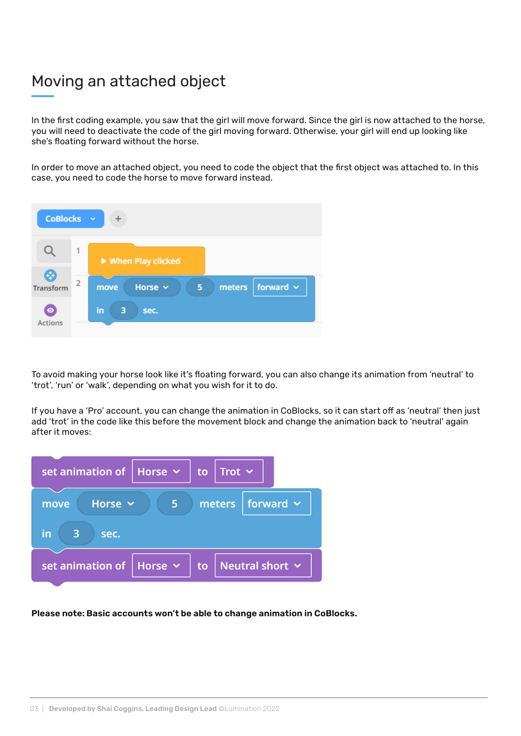#### Moving an attached object

In the first coding example, you saw that the girl will move forward. Since the girl is now attached to the horse, you will need to deactivate the code of the girl moving forward. Otherwise, your girl will end up looking like she's floating forward without the horse.

In order to move an attached object, you need to code the object that the first object was attached to. In this case, you need to code the horse to move forward instead.



To avoid making your horse look like it's floating forward, you can also change its animation from 'neutral' to 'trot', 'run' or 'walk', depending on what you wish for it to do.

If you have a 'Pro' account, you can change the animation in CoBlocks, so it can start off as 'neutral' then just add 'trot' in the code like this before the movement block and change the animation back to 'neutral' again after it moves:



#### Please note: Basic accounts won't be able to change animation in CoBlocks.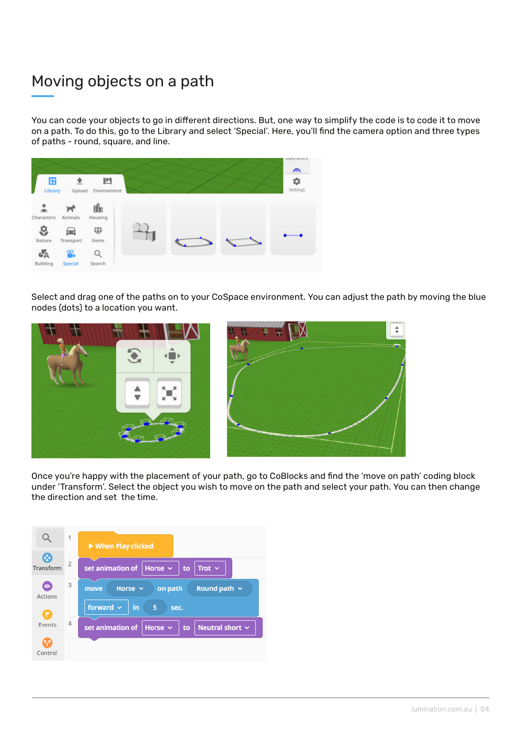## Moving objects on a path

You can code your objects to go in different directions. But, one way to simplify the code is to code it to move on a path. To do this, go to the Library and select 'Special'. Here, you'll find the camera option and three types of paths - round, square, and line.



Select and drag one of the paths on to your CoSpace environment. You can adjust the path by moving the blue nodes (dots) to a location you want.



Once you're happy with the placement of your path, go to CoBlocks and find the 'move on path' coding block under 'Transform'. Select the object you wish to move on the path and select your path. You can then change the direction and set the time.

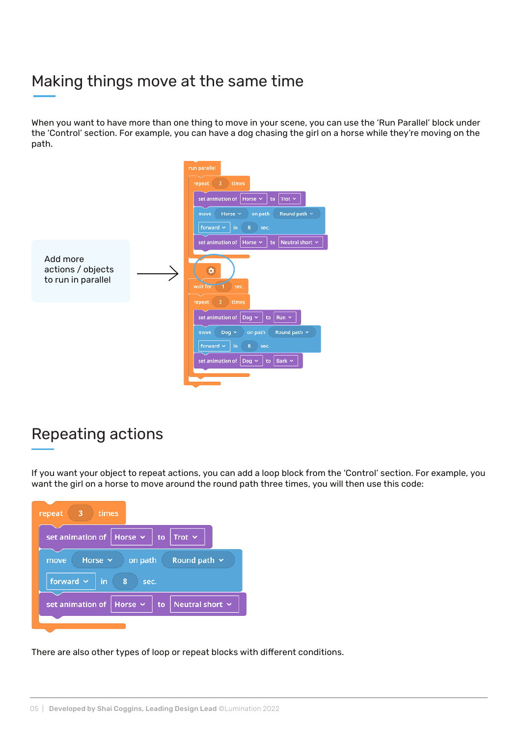#### Making things move at the same time

When you want to have more than one thing to move in your scene, you can use the 'Run Parallel' block under the 'Control' section. For example, you can have a dog chasing the girl on a horse while they're moving on the path.

|                                                     | run parallel<br>repeat<br>$\overline{\mathbf{3}}$<br>times<br>set animation of   Horse $\sim$<br>Trot $\sim$<br>to<br>Round path $\sim$<br>on path<br>Horse $\sim$<br>move<br>forward $\sim$<br>8<br>in.<br>sec.    |
|-----------------------------------------------------|---------------------------------------------------------------------------------------------------------------------------------------------------------------------------------------------------------------------|
| Add more<br>actions / objects<br>to run in parallel | set animation of<br>to   Neutral short $\sim$<br>Horse $\sim$<br>۰<br>wait for<br>sec.<br>3<br>times<br>repeat                                                                                                      |
|                                                     | set animation of $\vert$ Dog $\vert \cdot \vert$<br>$Run \sim$<br>to<br>Round path $\sim$<br>on path<br>Dog $\sim$<br>move<br>forward $\sim$<br>8<br>in.<br>sec.<br>set animation of Dog $\sim$<br>to   Bark $\sim$ |

#### Repeating actions

If you want your object to repeat actions, you can add a loop block from the 'Control' section. For example, you want the girl on a horse to move around the round path three times, you will then use this code:

| 3<br>times<br>repeat                                      |  |  |
|-----------------------------------------------------------|--|--|
| Horse $\sim$<br>Trot $\sim$<br>set animation of<br>to     |  |  |
| Round path $\sim$<br>Horse $\sim$<br>on path<br>move      |  |  |
| forward $\sim$<br>in<br>8<br>sec.                         |  |  |
| Horse $\sim$<br>set animation of<br>Neutral short Y<br>to |  |  |
|                                                           |  |  |

There are also other types of loop or repeat blocks with different conditions.